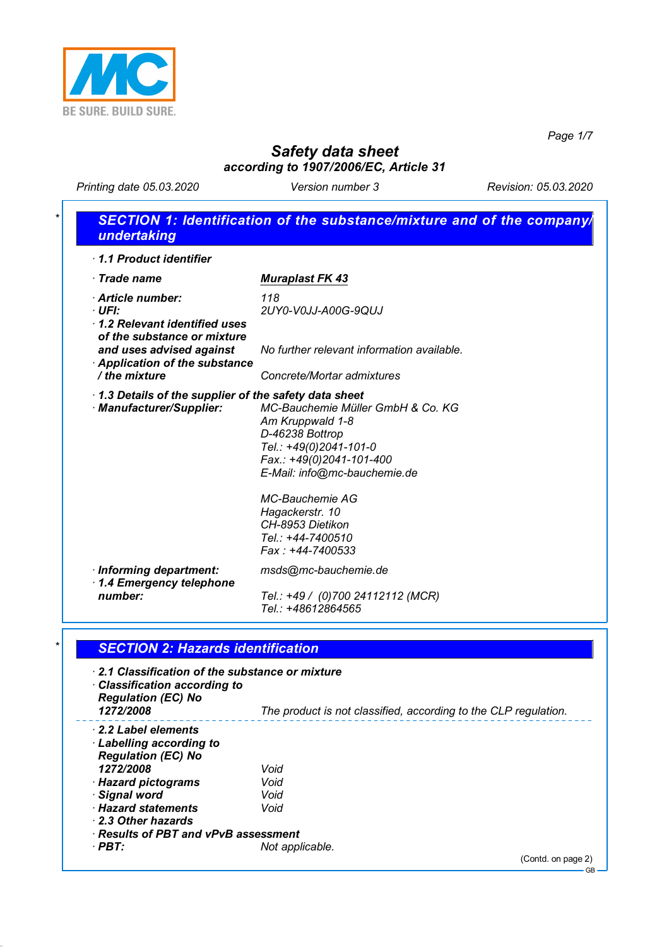

*Page 1/7*

**GB** 

# *Safety data sheet according to 1907/2006/EC, Article 31*

*Printing date 05.03.2020 Version number 3 Revision: 05.03.2020*

## *\* SECTION 1: Identification of the substance/mixture and of the company/ undertaking · 1.1 Product identifier <i>Trade name* Muraplast FK 43 *· Article number: 118 · UFI: 2UY0-V0JJ-A00G-9QUJ · 1.2 Relevant identified uses of the substance or mixture and uses advised against No further relevant information available. · Application of the substance / the mixture Concrete/Mortar admixtures · 1.3 Details of the supplier of the safety data sheet*  $MC$ -Bauchemie Müller GmbH & Co. KG *Am Kruppwald 1-8 D-46238 Bottrop Tel.: +49(0)2041-101-0 Fax.: +49(0)2041-101-400 E-Mail: info@mc-bauchemie.de MC-Bauchemie AG Hagackerstr. 10 CH-8953 Dietikon Tel.: +44-7400510 Fax : +44-7400533 · Informing department: msds@mc-bauchemie.de · 1.4 Emergency telephone number: Tel.: +49 / (0)700 24112112 (MCR) Tel.: +48612864565*

## *\* SECTION 2: Hazards identification*

| 2.1 Classification of the substance or mixture<br>$\cdot$ Classification according to<br><b>Regulation (EC) No</b><br>1272/2008 | The product is not classified, according to the CLP regulation. |
|---------------------------------------------------------------------------------------------------------------------------------|-----------------------------------------------------------------|
| $\cdot$ 2.2 Label elements<br>$\cdot$ Labelling according to                                                                    |                                                                 |
| <b>Regulation (EC) No</b>                                                                                                       |                                                                 |
| 1272/2008                                                                                                                       | Void                                                            |
| · Hazard pictograms                                                                                                             | Void                                                            |
| · Signal word                                                                                                                   | Void                                                            |
| · Hazard statements<br>2.3 Other hazards                                                                                        | Void                                                            |
| $\cdot$ Results of PBT and vPvB assessment                                                                                      |                                                                 |
| $\cdot$ PBT:                                                                                                                    | Not applicable.                                                 |
|                                                                                                                                 | (Contd. on page 2)                                              |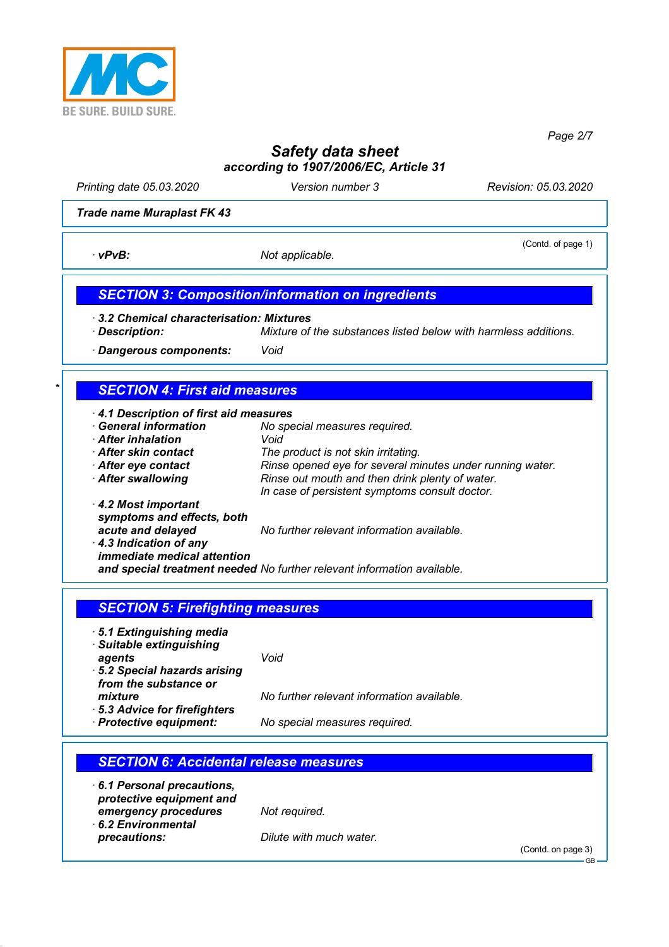

*Page 2/7*

# *Safety data sheet according to 1907/2006/EC, Article 31*

*Printing date 05.03.2020 Version number 3 Revision: 05.03.2020*

(Contd. of page 1)

*Trade name Muraplast FK 43*

*· vPvB: Not applicable.* 

*SECTION 3: Composition/information on ingredients*

*· 3.2 Chemical characterisation: Mixtures*

*· Description: Mixture of the substances listed below with harmless additions.*

*· Dangerous components: Void*

## *\* SECTION 4: First aid measures*

*· 4.1 Description of first aid measures*

- *No special measures required. · After inhalation Void*
- 
- 
- 

*· After skin contact The product is not skin irritating. · After eye contact Rinse opened eye for several minutes under running water. · After swallowing Rinse out mouth and then drink plenty of water. In case of persistent symptoms consult doctor.*

*· 4.2 Most important symptoms and effects, both acute and delayed No further relevant information available. · 4.3 Indication of any immediate medical attention*

*and special treatment needed No further relevant information available.*

## *SECTION 5: Firefighting measures*

- *· 5.1 Extinguishing media*
- *· Suitable extinguishing agents Void*
- *· 5.2 Special hazards arising from the substance or*

*mixture No further relevant information available.*

*· 5.3 Advice for firefighters*

*· Protective equipment: No special measures required.*

## *SECTION 6: Accidental release measures · 6.1 Personal precautions, protective equipment and emergency procedures Not required. · 6.2 Environmental precautions: Dilute with much water.* (Contd. on page 3) GB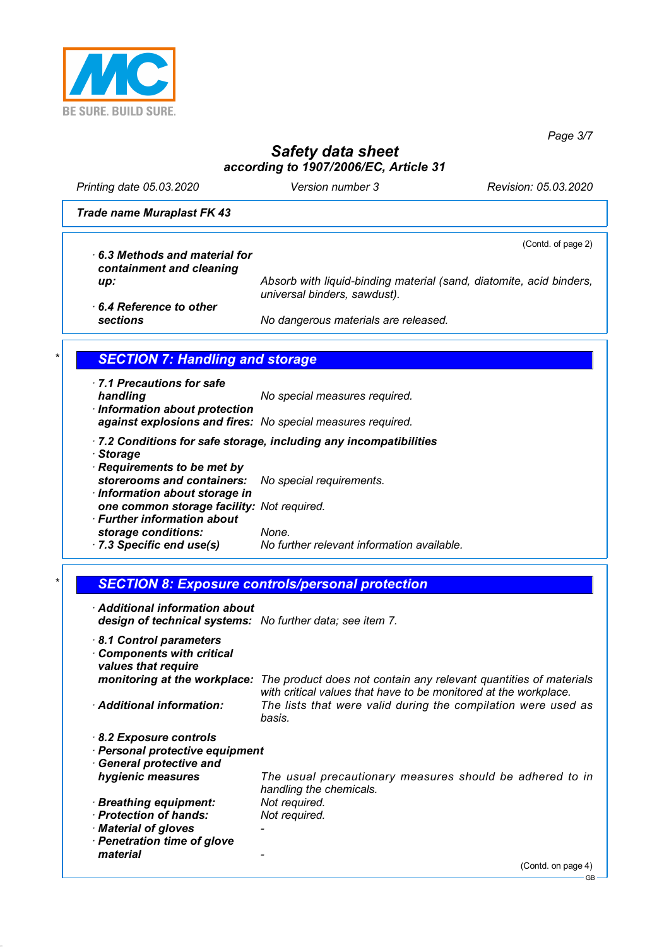

*Page 3/7*

GB

# *Safety data sheet according to 1907/2006/EC, Article 31*

*Printing date 05.03.2020 Version number 3 Revision: 05.03.2020*

*Trade name Muraplast FK 43*

(Contd. of page 2) *· 6.3 Methods and material for containment and cleaning up: Absorb with liquid-binding material (sand, diatomite, acid binders, universal binders, sawdust). · 6.4 Reference to other sections No dangerous materials are released.* **SECTION 7: Handling and storage** *· 7.1 Precautions for safe handling No special measures required. · Information about protection against explosions and fires: No special measures required. · 7.2 Conditions for safe storage, including any incompatibilities*

*· Storage*

- *· Requirements to be met by*
- *storerooms and containers: No special requirements. · Information about storage in one common storage facility: Not required. · Further information about storage conditions: None.*
- *· 7.3 Specific end use(s) No further relevant information available.*
	- *\* SECTION 8: Exposure controls/personal protection*

| Additional information about<br>design of technical systems: No further data; see item 7. |                                                                                                                                       |
|-------------------------------------------------------------------------------------------|---------------------------------------------------------------------------------------------------------------------------------------|
| 8.1 Control parameters<br><b>Components with critical</b><br>values that require          |                                                                                                                                       |
| monitoring at the workplace:                                                              | The product does not contain any relevant quantities of materials<br>with critical values that have to be monitored at the workplace. |
| <b>Additional information:</b>                                                            | The lists that were valid during the compilation were used as<br>basis.                                                               |
| 8.2 Exposure controls<br>· Personal protective equipment<br>· General protective and      |                                                                                                                                       |
| hygienic measures                                                                         | The usual precautionary measures should be adhered to in<br>handling the chemicals.                                                   |
| · Breathing equipment:                                                                    | Not required.                                                                                                                         |
| $\cdot$ Protection of hands:                                                              | Not required.                                                                                                                         |
| · Material of gloves                                                                      |                                                                                                                                       |
| · Penetration time of glove                                                               |                                                                                                                                       |
| material                                                                                  |                                                                                                                                       |
|                                                                                           | (Contd. on page 4)                                                                                                                    |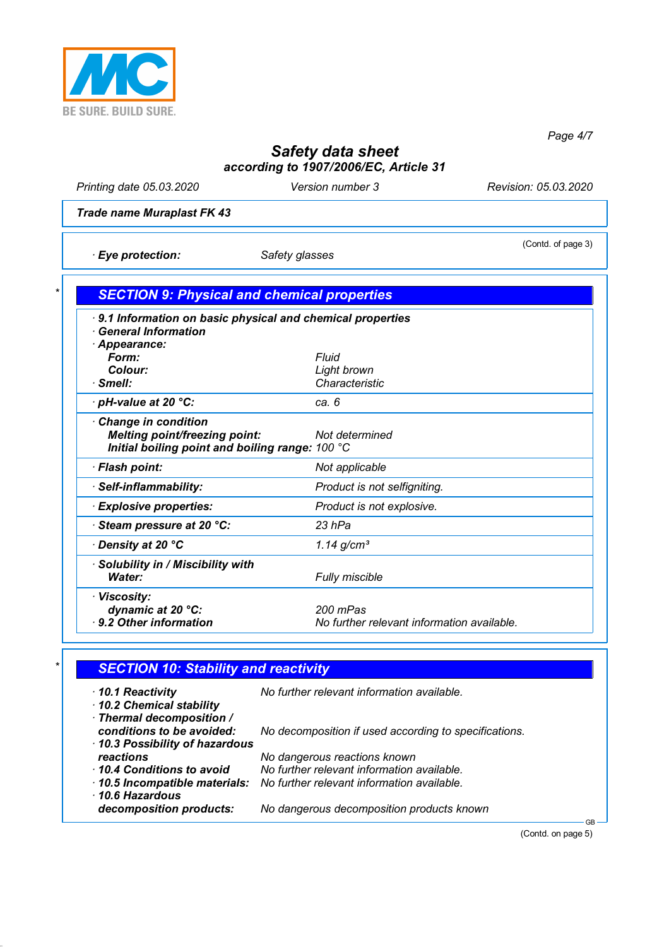

*Page 4/7*

# *Safety data sheet according to 1907/2006/EC, Article 31*

*Printing date 05.03.2020 Version number 3 Revision: 05.03.2020*

(Contd. of page 3)

*Trade name Muraplast FK 43*

*· Eye protection: Safety glasses*

| 9.1 Information on basic physical and chemical properties |                                            |
|-----------------------------------------------------------|--------------------------------------------|
| <b>General Information</b>                                |                                            |
| Appearance:                                               |                                            |
| Form:                                                     | Fluid                                      |
| Colour:                                                   | Light brown                                |
| · Smell:                                                  | Characteristic                             |
| · pH-value at 20 °C:                                      | ca. 6                                      |
| Change in condition                                       |                                            |
| <b>Melting point/freezing point:</b>                      | Not determined                             |
| Initial boiling point and boiling range: 100 °C           |                                            |
| · Flash point:                                            | Not applicable                             |
| · Self-inflammability:                                    | Product is not selfigniting.               |
| · Explosive properties:                                   | Product is not explosive.                  |
| Steam pressure at 20 °C:                                  | 23 hPa                                     |
| ⋅ Density at 20 °C                                        | $1.14$ g/cm <sup>3</sup>                   |
| · Solubility in / Miscibility with                        |                                            |
| Water:                                                    | Fully miscible                             |
| · Viscosity:                                              |                                            |
| dynamic at 20 °C:                                         | 200 mPas                                   |
| 9.2 Other information                                     | No further relevant information available. |

# *\* SECTION 10: Stability and reactivity*

| $\cdot$ 10.1 Reactivity<br>10.2 Chemical stability       | No further relevant information available.                                               |
|----------------------------------------------------------|------------------------------------------------------------------------------------------|
| · Thermal decomposition /<br>conditions to be avoided:   | No decomposition if used according to specifications.                                    |
| 10.3 Possibility of hazardous<br>reactions               | No dangerous reactions known                                                             |
| 10.4 Conditions to avoid<br>10.5 Incompatible materials: | No further relevant information available.<br>No further relevant information available. |
| 10.6 Hazardous<br>decomposition products:                | No dangerous decomposition products known                                                |

(Contd. on page 5)

GB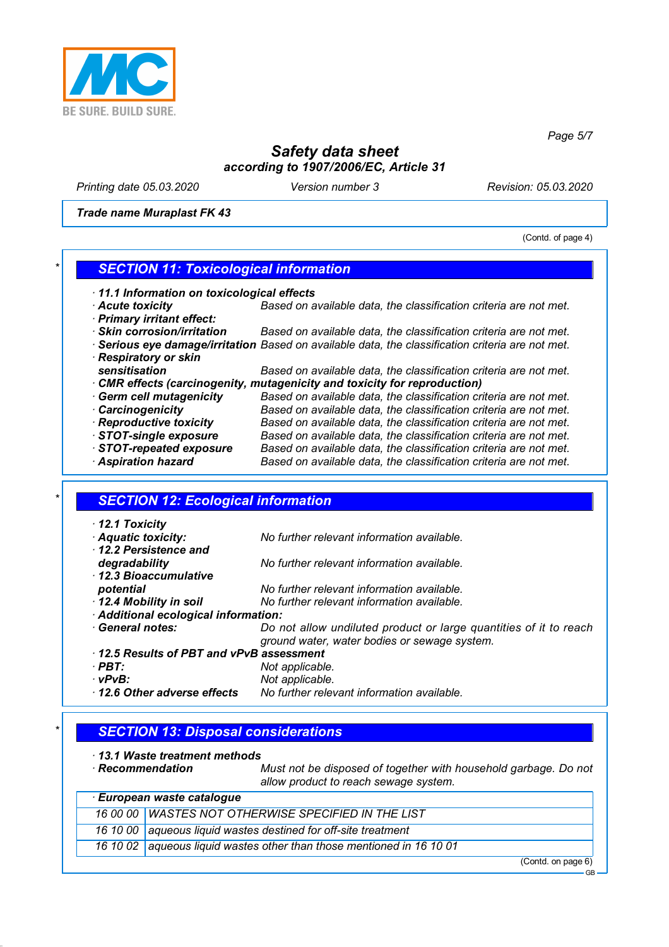

*Page 5/7*

# *Safety data sheet according to 1907/2006/EC, Article 31*

*Printing date 05.03.2020 Version number 3 Revision: 05.03.2020*

*Trade name Muraplast FK 43*

(Contd. of page 4)

#### *\* SECTION 11: Toxicological information*

- *· 11.1 Information on toxicological effects*
- *· Acute toxicity Based on available data, the classification criteria are not met. · Primary irritant effect:*
- *· Skin corrosion/irritation Based on available data, the classification criteria are not met.*
- *· Serious eye damage/irritation Based on available data, the classification criteria are not met. · Respiratory or skin*
- *sensitisation Based on available data, the classification criteria are not met. · CMR effects (carcinogenity, mutagenicity and toxicity for reproduction)*
- *· Germ cell mutagenicity Based on available data, the classification criteria are not met. · Carcinogenicity Based on available data, the classification criteria are not met. · Reproductive toxicity Based on available data, the classification criteria are not met. · STOT-single exposure Based on available data, the classification criteria are not met. · STOT-repeated exposure Based on available data, the classification criteria are not met. · Aspiration hazard Based on available data, the classification criteria are not met.*

#### *\* SECTION 12: Ecological information*

*· 12.1 Toxicity*

*· Aquatic toxicity: No further relevant information available. · 12.2 Persistence and degradability No further relevant information available. · 12.3 Bioaccumulative potential No further relevant information available. · 12.4 Mobility in soil No further relevant information available. · Additional ecological information: · General notes: Do not allow undiluted product or large quantities of it to reach ground water, water bodies or sewage system. · 12.5 Results of PBT and vPvB assessment · PBT: Not applicable. · vPvB: Not applicable. · 12.6 Other adverse effects No further relevant information available.*

#### *\* SECTION 13: Disposal considerations*

- *· 13.1 Waste treatment methods*
- 

*Must not be disposed of together with household garbage. Do not allow product to reach sewage system.*

| · European waste catalogue |                                                                       |
|----------------------------|-----------------------------------------------------------------------|
|                            | 16 00 00 WASTES NOT OTHERWISE SPECIFIED IN THE LIST                   |
|                            | 16 10 00   aqueous liquid wastes destined for off-site treatment      |
|                            | 16 10 02 aqueous liquid wastes other than those mentioned in 16 10 01 |
|                            | (Contdonpose                                                          |

(Contd. on page 6) GB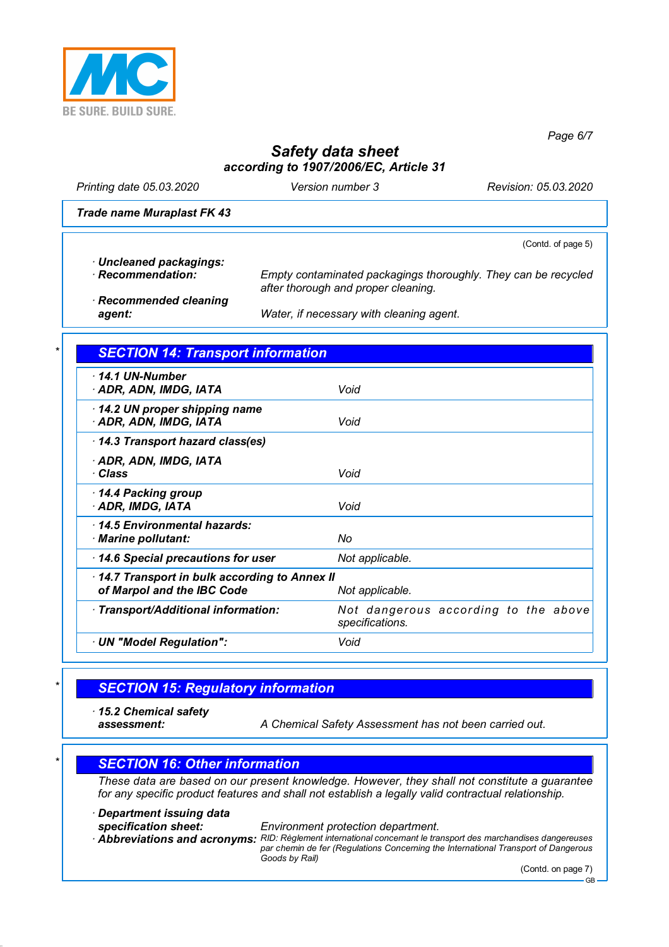

*Page 6/7*

# *Safety data sheet according to 1907/2006/EC, Article 31*

*Printing date 05.03.2020 Version number 3 Revision: 05.03.2020*

#### *Trade name Muraplast FK 43*

(Contd. of page 5)

- *· Uncleaned packagings:*
- 

*· Recommendation: Empty contaminated packagings thoroughly. They can be recycled after thorough and proper cleaning.*

*· Recommended cleaning*

*agent: Water, if necessary with cleaning agent.*

#### *\* SECTION 14: Transport information*

| $\cdot$ 14.1 UN-Number<br>· ADR, ADN, IMDG, IATA                           | Void                                                    |
|----------------------------------------------------------------------------|---------------------------------------------------------|
| $\cdot$ 14.2 UN proper shipping name<br>· ADR, ADN, IMDG, IATA             | Void                                                    |
| 14.3 Transport hazard class(es)                                            |                                                         |
| · ADR, ADN, IMDG, IATA<br>· Class                                          | Void                                                    |
| 14.4 Packing group<br>· ADR, IMDG, IATA                                    | Void                                                    |
| 14.5 Environmental hazards:<br>· Marine pollutant:                         | No                                                      |
| 14.6 Special precautions for user                                          | Not applicable.                                         |
| 14.7 Transport in bulk according to Annex II<br>of Marpol and the IBC Code | Not applicable.                                         |
| · Transport/Additional information:                                        | Not dangerous according to the above<br>specifications. |
| · UN "Model Regulation":                                                   | Void                                                    |
|                                                                            |                                                         |

## *\* SECTION 15: Regulatory information*

*· 15.2 Chemical safety*

*assessment: A Chemical Safety Assessment has not been carried out.*

## *\* SECTION 16: Other information*

*These data are based on our present knowledge. However, they shall not constitute a guarantee for any specific product features and shall not establish a legally valid contractual relationship.*

*· Department issuing data*

*specification sheet: Environment protection department.*

*· Abbreviations and acronyms: RID: Règlement international concernant le transport des marchandises dangereuses*

*par chemin de fer (Regulations Concerning the International Transport of Dangerous Goods by Rail)*

GB